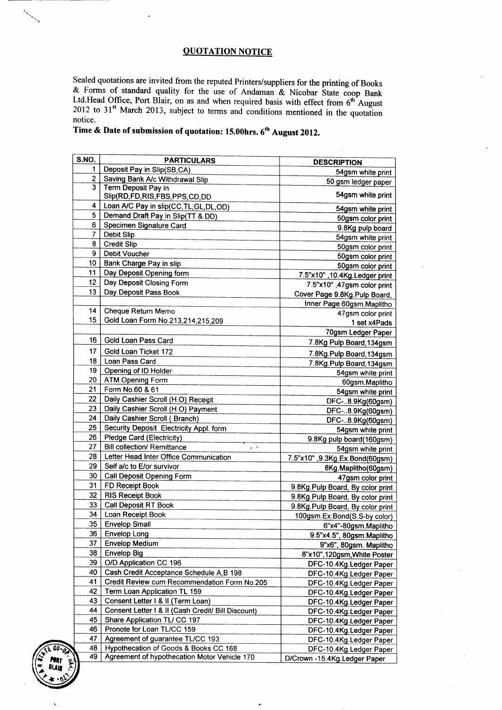## OUOTATION NOTICE

Sealed quotations are invited from the reputed Printers/suppliers for the printing of Books  $\&$  Forms of standard quality for the use of Andaman  $\&$  Nicobar State coop Bank Ltd.Head Office, Port Blair, on as and when required basis with effect from  $6<sup>th</sup>$  August  $2012$  to  $31<sup>st</sup>$  March 2013, subject to terms and conditions mentioned in the quotation notice.

## Time & Date of submission of quotation: 15.00hrs. 6<sup>th</sup> August 2012.

|                | <b>PARTICULARS</b>                                                          | <b>DESCRIPTION</b>                                     |
|----------------|-----------------------------------------------------------------------------|--------------------------------------------------------|
| 1              | Deposit Pay in Slip(SB,CA)                                                  | 54gsm white print                                      |
| $\overline{2}$ | Saving Bank A/c Withdrawal Slip                                             | 50 gsm ledger paper                                    |
| 3              | Term Deposit Pay in                                                         | 54gsm white print                                      |
| 4              | Slip(RD,FD,RIS,FBS,PPS,CD,DD                                                |                                                        |
| 5              | Loan A/C Pay in slip(CC, TL, GL, DL, OD)                                    | 54gsm white print                                      |
| 6              | Demand Draft Pay in Slip(TT & DD)<br>Specimen Signature Card                | 50gsm color print                                      |
| 7              | Debit Slip                                                                  | 9.8Kg pulp board                                       |
| 8              | <b>Credit Slip</b>                                                          | 54gsm white print                                      |
| 9              | <b>Debit Voucher</b>                                                        | 50gsm color print                                      |
| 10             | Bank Charge Pay in slip                                                     | 50gsm color print                                      |
| 11             | Day Deposit Opening form                                                    | 50gsm color print                                      |
| 12             | Day Deposit Closing Form                                                    | 7.5"x10", 10.4Kg. Ledger print                         |
| 13             | Day Deposit Pass Book                                                       | 7.5"x10",47gsm color print                             |
|                |                                                                             | Cover Page 9.8Kg.Pulp Board,                           |
| 14             | Cheque Return Memo                                                          | Inner Page 60gsm.Maplitho                              |
| 15             | Gold Loan Form No.213,214,215,209                                           | 47gsm color print                                      |
|                |                                                                             | 1 set x4Pads                                           |
| 16             | Gold Loan Pass Card                                                         | 70gsm Ledger Paper                                     |
|                |                                                                             | 7.8Kg Pulp Board, 134gsm                               |
| 17             | Gold Loan Ticket 172                                                        | 7.8Kg.Pulp Board, 134gsm                               |
| 18             | Loan Pass Card                                                              | 7.8Kg.Pulp Board, 134gsm                               |
| 19             | Opening of ID Holder                                                        | 54gsm white print                                      |
| 20             | ATM Opening Form                                                            | 60gsm.Maplitho                                         |
| 21             | Form No.60 & 61                                                             | 54gsm white print                                      |
| 22             | Daily Cashier Scroll (H.O) Receipt                                          | DFC-8.9Kg(60gsm)                                       |
| 23<br>24       | Daily Cashier Scroll (H.O) Payment                                          | DFC-8.9Kg(60gsm)                                       |
| 25             | Daily Cashier Scroll (Branch)                                               | DFC-8.9Kg(60gsm)                                       |
| 26             | Security Deposit Electricity Appl. form<br><b>Pledge Card (Electricity)</b> | 54gsm white print                                      |
| 27             | <b>Bill collection/ Remittance</b>                                          | 9.8Kg pulp board(160gsm)                               |
| 28             | $r^{-\lambda_{\rm p}}$<br>Letter Head Inter Office Communication            | 54gsm white print                                      |
| 29             | Self a/c to E/or survivor                                                   | 7.5"x10", 9.3Kg. Ex. Bond(60gsm)                       |
| 30             | Call Deposit Opening Form                                                   | 8Kg.Maplitho(60gsm)                                    |
| 31             | FD Receipt Book                                                             | 47gsm color print                                      |
| 32             | <b>RIS Receipt Book</b>                                                     | 9.8Kg.Pulp Board, By color print                       |
| 33             | Call Deposit RT Book                                                        | 9.8Kg. Pulp Board, By color print                      |
| 34             | Loan Receipt Book                                                           | 9.8Kg.Pulp Board, By color print                       |
| 35             | <b>Envelop Small</b>                                                        | 100gsm.Ex.Bond(S.S-by color)                           |
| 36             | <b>Envelop Long</b>                                                         | 6"x4"-80gsm.Maplitho                                   |
| 37             | <b>Envelop Medium</b>                                                       | 9.5"x4.5", 80gsm.Maplitho                              |
| 38             | <b>Envelop Big</b>                                                          | 9"x6", 80gsm. Maplitho                                 |
| 39             | O/D Application CC 196                                                      | 8"x10",120gsm, White Poster<br>DFC-10.4Kg.Ledger Paper |
| 40             | Cash Credit Acceptance Schedule A, B 198                                    | DFC-10.4Kg Ledger Paper                                |
| 41             | Credit Review cum Recommendation Form No.205                                | DFC-10.4Kg.Ledger Paper                                |
| 42             | Term Loan Application TL 159                                                | DFC-10.4Kg.Ledger Paper                                |
| 43             | Consent Letter I & II (Term Loan)                                           | DFC-10.4Kg.Ledger Paper                                |
| 44             | Consent Letter 1 & II (Cash Credit/ Bill Discount)                          | DFC-10.4Kg Ledger Paper                                |
| 45             | Share Application TL/ CC 197                                                | DFC-10.4Kg.Ledger Paper                                |
| 46             | Pronote for Loan TL/CC 159                                                  | DFC-10.4Kg Ledger Paper                                |
| 47             | Agreement of guarantee TL/CC 193                                            | DFC-10.4Kg.Ledger Paper                                |
|                | Hypothecation of Goods & Books CC 168                                       | DFC-10.4Kg.Ledger Paper                                |
| 48             | Agreement of hypothecation Motor Vehicle 170                                | D/Crown -15.4Kg.Ledger Paper                           |